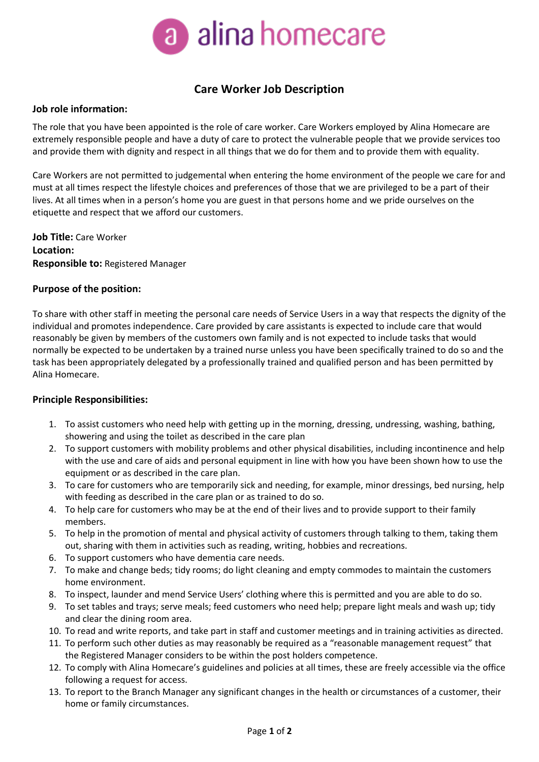

# **Care Worker Job Description**

## **Job role information:**

The role that you have been appointed is the role of care worker. Care Workers employed by Alina Homecare are extremely responsible people and have a duty of care to protect the vulnerable people that we provide services too and provide them with dignity and respect in all things that we do for them and to provide them with equality.

Care Workers are not permitted to judgemental when entering the home environment of the people we care for and must at all times respect the lifestyle choices and preferences of those that we are privileged to be a part of their lives. At all times when in a person's home you are guest in that persons home and we pride ourselves on the etiquette and respect that we afford our customers.

**Job Title:** Care Worker **Location: Responsible to:** Registered Manager

## **Purpose of the position:**

To share with other staff in meeting the personal care needs of Service Users in a way that respects the dignity of the individual and promotes independence. Care provided by care assistants is expected to include care that would reasonably be given by members of the customers own family and is not expected to include tasks that would normally be expected to be undertaken by a trained nurse unless you have been specifically trained to do so and the task has been appropriately delegated by a professionally trained and qualified person and has been permitted by Alina Homecare.

## **Principle Responsibilities:**

- 1. To assist customers who need help with getting up in the morning, dressing, undressing, washing, bathing, showering and using the toilet as described in the care plan
- 2. To support customers with mobility problems and other physical disabilities, including incontinence and help with the use and care of aids and personal equipment in line with how you have been shown how to use the equipment or as described in the care plan.
- 3. To care for customers who are temporarily sick and needing, for example, minor dressings, bed nursing, help with feeding as described in the care plan or as trained to do so.
- 4. To help care for customers who may be at the end of their lives and to provide support to their family members.
- 5. To help in the promotion of mental and physical activity of customers through talking to them, taking them out, sharing with them in activities such as reading, writing, hobbies and recreations.
- 6. To support customers who have dementia care needs.
- 7. To make and change beds; tidy rooms; do light cleaning and empty commodes to maintain the customers home environment.
- 8. To inspect, launder and mend Service Users' clothing where this is permitted and you are able to do so.
- 9. To set tables and trays; serve meals; feed customers who need help; prepare light meals and wash up; tidy and clear the dining room area.
- 10. To read and write reports, and take part in staff and customer meetings and in training activities as directed.
- 11. To perform such other duties as may reasonably be required as a "reasonable management request" that the Registered Manager considers to be within the post holders competence.
- 12. To comply with Alina Homecare's guidelines and policies at all times, these are freely accessible via the office following a request for access.
- 13. To report to the Branch Manager any significant changes in the health or circumstances of a customer, their home or family circumstances.